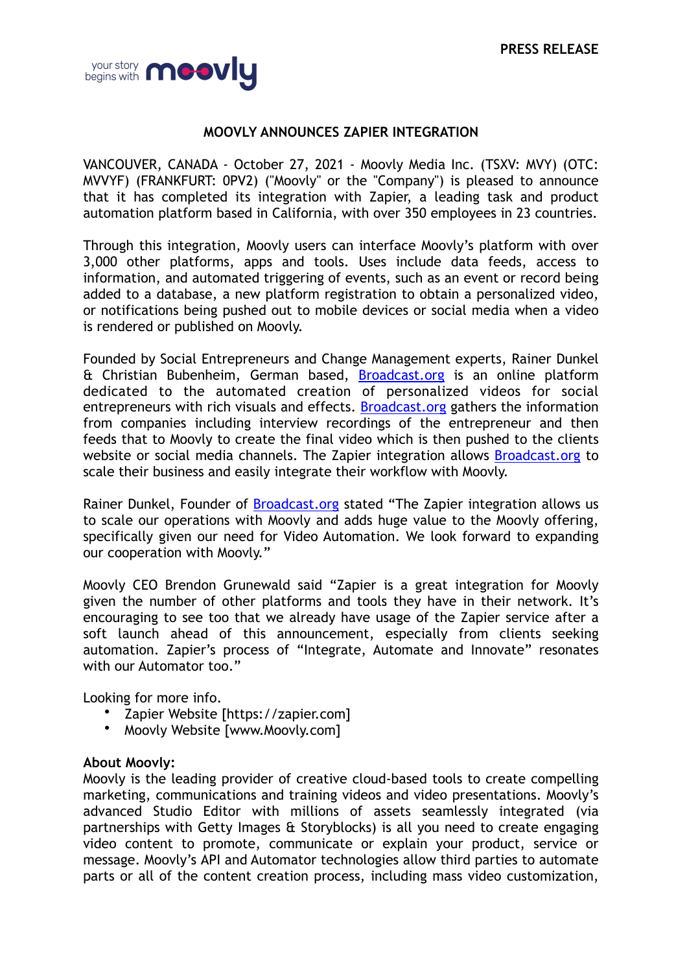

## **MOOVLY ANNOUNCES ZAPIER INTEGRATION**

VANCOUVER, CANADA - October 27, 2021 - Moovly Media Inc. (TSXV: MVY) (OTC: MVVYF) (FRANKFURT: 0PV2) ("Moovly" or the "Company") is pleased to announce that it has completed its integration with Zapier, a leading task and product automation platform based in California, with over 350 employees in 23 countries.

Through this integration, Moovly users can interface Moovly's platform with over 3,000 other platforms, apps and tools. Uses include data feeds, access to information, and automated triggering of events, such as an event or record being added to a database, a new platform registration to obtain a personalized video, or notifications being pushed out to mobile devices or social media when a video is rendered or published on Moovly.

Founded by Social Entrepreneurs and Change Management experts, Rainer Dunkel & Christian Bubenheim, German based, [Broadcast.org](http://broadcast.org/) is an online platform dedicated to the automated creation of personalized videos for social entrepreneurs with rich visuals and effects. [Broadcast.org](http://broadcast.org/) gathers the information from companies including interview recordings of the entrepreneur and then feeds that to Moovly to create the final video which is then pushed to the clients website or social media channels. The Zapier integration allows **Broadcast.org** to scale their business and easily integrate their workflow with Moovly.

Rainer Dunkel, Founder of [Broadcast.org](http://broadcast.org/) stated "The Zapier integration allows us to scale our operations with Moovly and adds huge value to the Moovly offering, specifically given our need for Video Automation. We look forward to expanding our cooperation with Moovly."

Moovly CEO Brendon Grunewald said "Zapier is a great integration for Moovly given the number of other platforms and tools they have in their network. It's encouraging to see too that we already have usage of the Zapier service after a soft launch ahead of this announcement, especially from clients seeking automation. Zapier's process of "Integrate, Automate and Innovate" resonates with our Automator too."

Looking for more info.

- Zapier Website [https://zapier.com]
- Moovly Website [www.Moovly.com]

## **About Moovly:**

Moovly is the leading provider of creative cloud-based tools to create compelling marketing, communications and training videos and video presentations. Moovly's advanced Studio Editor with millions of assets seamlessly integrated (via partnerships with Getty Images & Storyblocks) is all you need to create engaging video content to promote, communicate or explain your product, service or message. Moovly's API and Automator technologies allow third parties to automate parts or all of the content creation process, including mass video customization,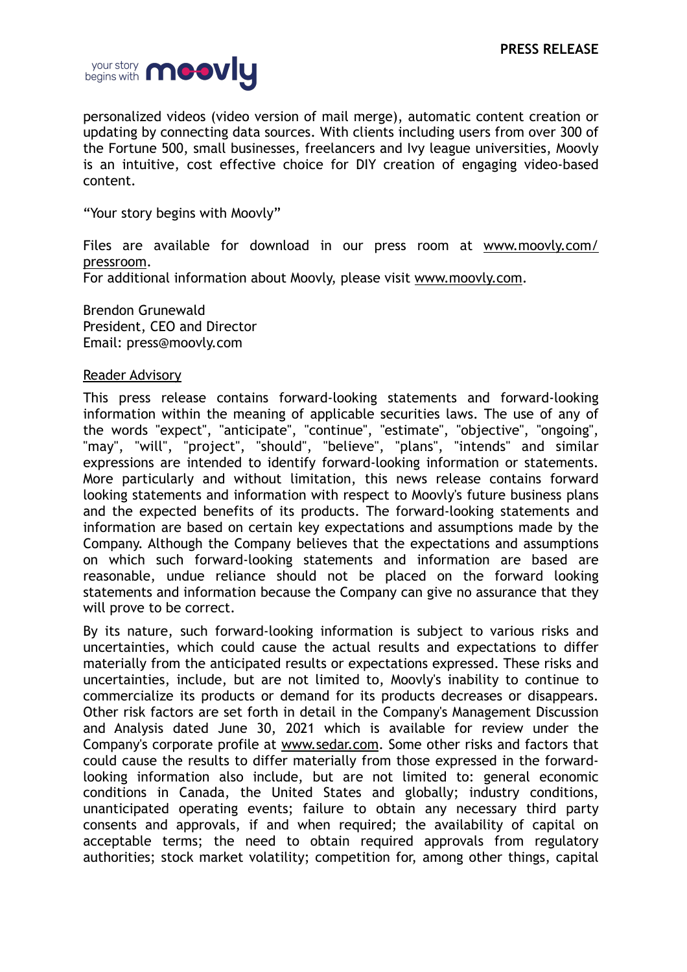

personalized videos (video version of mail merge), automatic content creation or updating by connecting data sources. With clients including users from over 300 of the Fortune 500, small businesses, freelancers and Ivy league universities, Moovly is an intuitive, cost effective choice for DIY creation of engaging video-based content.

"Your story begins with Moovly"

Files are available for download in our press room at [www.moovly.com/](http://www.moovly.com/pressroom) [pressroom](http://www.moovly.com/pressroom).

For additional information about Moovly, please visit [www.moovly.com](https://www.moovly.com/).

Brendon Grunewald President, CEO and Director Email: press@moovly.com

## Reader Advisory

This press release contains forward-looking statements and forward-looking information within the meaning of applicable securities laws. The use of any of the words "expect", "anticipate", "continue", "estimate", "objective", "ongoing", "may", "will", "project", "should", "believe", "plans", "intends" and similar expressions are intended to identify forward-looking information or statements. More particularly and without limitation, this news release contains forward looking statements and information with respect to Moovly's future business plans and the expected benefits of its products. The forward-looking statements and information are based on certain key expectations and assumptions made by the Company. Although the Company believes that the expectations and assumptions on which such forward-looking statements and information are based are reasonable, undue reliance should not be placed on the forward looking statements and information because the Company can give no assurance that they will prove to be correct.

By its nature, such forward-looking information is subject to various risks and uncertainties, which could cause the actual results and expectations to differ materially from the anticipated results or expectations expressed. These risks and uncertainties, include, but are not limited to, Moovly's inability to continue to commercialize its products or demand for its products decreases or disappears. Other risk factors are set forth in detail in the Company's Management Discussion and Analysis dated June 30, 2021 which is available for review under the Company's corporate profile at [www.sedar.com](http://www.sedar.com/). Some other risks and factors that could cause the results to differ materially from those expressed in the forwardlooking information also include, but are not limited to: general economic conditions in Canada, the United States and globally; industry conditions, unanticipated operating events; failure to obtain any necessary third party consents and approvals, if and when required; the availability of capital on acceptable terms; the need to obtain required approvals from regulatory authorities; stock market volatility; competition for, among other things, capital